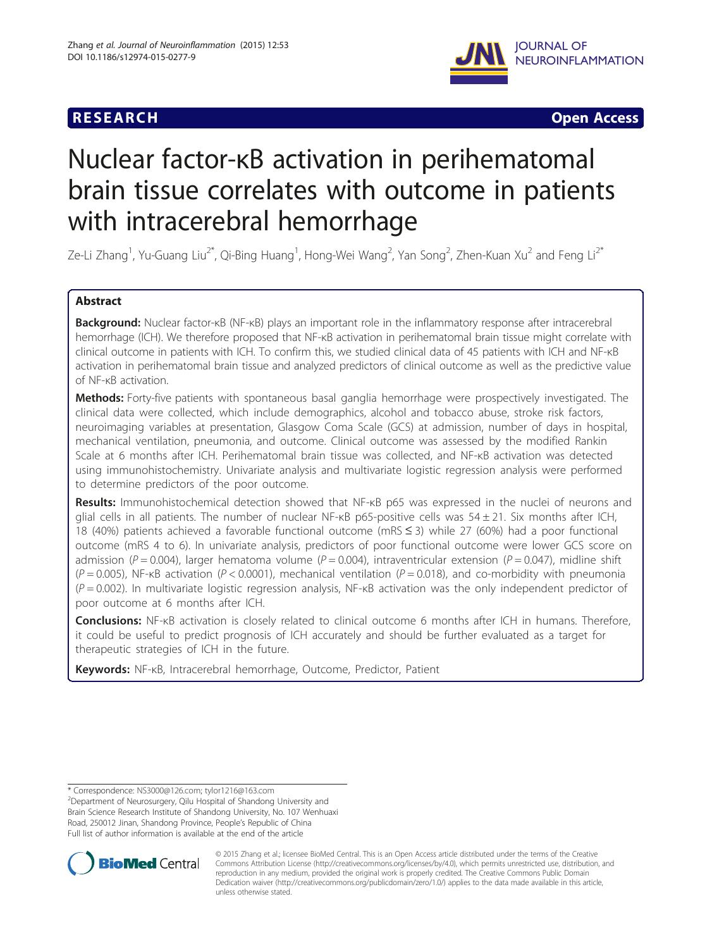# **RESEARCH RESEARCH** *CHECKER CHECKER CHECKER CHECKER CHECKER CHECKER CHECKER CHECKER CHECKER CHECKER CHECKER*



# Nuclear factor-κB activation in perihematomal brain tissue correlates with outcome in patients with intracerebral hemorrhage

Ze-Li Zhang<sup>1</sup>, Yu-Guang Liu<sup>2\*</sup>, Qi-Bing Huang<sup>1</sup>, Hong-Wei Wang<sup>2</sup>, Yan Song<sup>2</sup>, Zhen-Kuan Xu<sup>2</sup> and Feng Li<sup>2\*</sup>

# Abstract

Background: Nuclear factor-κB (NF-κB) plays an important role in the inflammatory response after intracerebral hemorrhage (ICH). We therefore proposed that NF-κB activation in perihematomal brain tissue might correlate with clinical outcome in patients with ICH. To confirm this, we studied clinical data of 45 patients with ICH and NF-κB activation in perihematomal brain tissue and analyzed predictors of clinical outcome as well as the predictive value of NF-κB activation.

Methods: Forty-five patients with spontaneous basal ganglia hemorrhage were prospectively investigated. The clinical data were collected, which include demographics, alcohol and tobacco abuse, stroke risk factors, neuroimaging variables at presentation, Glasgow Coma Scale (GCS) at admission, number of days in hospital, mechanical ventilation, pneumonia, and outcome. Clinical outcome was assessed by the modified Rankin Scale at 6 months after ICH. Perihematomal brain tissue was collected, and NF-κB activation was detected using immunohistochemistry. Univariate analysis and multivariate logistic regression analysis were performed to determine predictors of the poor outcome.

Results: Immunohistochemical detection showed that NF-KB p65 was expressed in the nuclei of neurons and glial cells in all patients. The number of nuclear NF-κB p65-positive cells was 54 ± 21. Six months after ICH, 18 (40%) patients achieved a favorable functional outcome (mRS ≤ 3) while 27 (60%) had a poor functional outcome (mRS 4 to 6). In univariate analysis, predictors of poor functional outcome were lower GCS score on admission (P = 0.004), larger hematoma volume (P = 0.004), intraventricular extension (P = 0.047), midline shift  $(P = 0.005)$ , NF- $\kappa$ B activation (P < 0.0001), mechanical ventilation (P = 0.018), and co-morbidity with pneumonia  $(P = 0.002)$ . In multivariate logistic regression analysis, NF- $\kappa$ B activation was the only independent predictor of poor outcome at 6 months after ICH.

Conclusions: NF-KB activation is closely related to clinical outcome 6 months after ICH in humans. Therefore, it could be useful to predict prognosis of ICH accurately and should be further evaluated as a target for therapeutic strategies of ICH in the future.

Keywords: NF-KB, Intracerebral hemorrhage, Outcome, Predictor, Patient

\* Correspondence: [NS3000@126.com;](mailto:NS3000@126.com) [tylor1216@163.com](mailto:tylor1216@163.com) <sup>2</sup>

Department of Neurosurgery, Qilu Hospital of Shandong University and Brain Science Research Institute of Shandong University, No. 107 Wenhuaxi Road, 250012 Jinan, Shandong Province, People's Republic of China Full list of author information is available at the end of the article



© 2015 Zhang et al.; licensee BioMed Central. This is an Open Access article distributed under the terms of the Creative Commons Attribution License [\(http://creativecommons.org/licenses/by/4.0\)](http://creativecommons.org/licenses/by/4.0), which permits unrestricted use, distribution, and reproduction in any medium, provided the original work is properly credited. The Creative Commons Public Domain Dedication waiver [\(http://creativecommons.org/publicdomain/zero/1.0/](http://creativecommons.org/publicdomain/zero/1.0/)) applies to the data made available in this article, unless otherwise stated.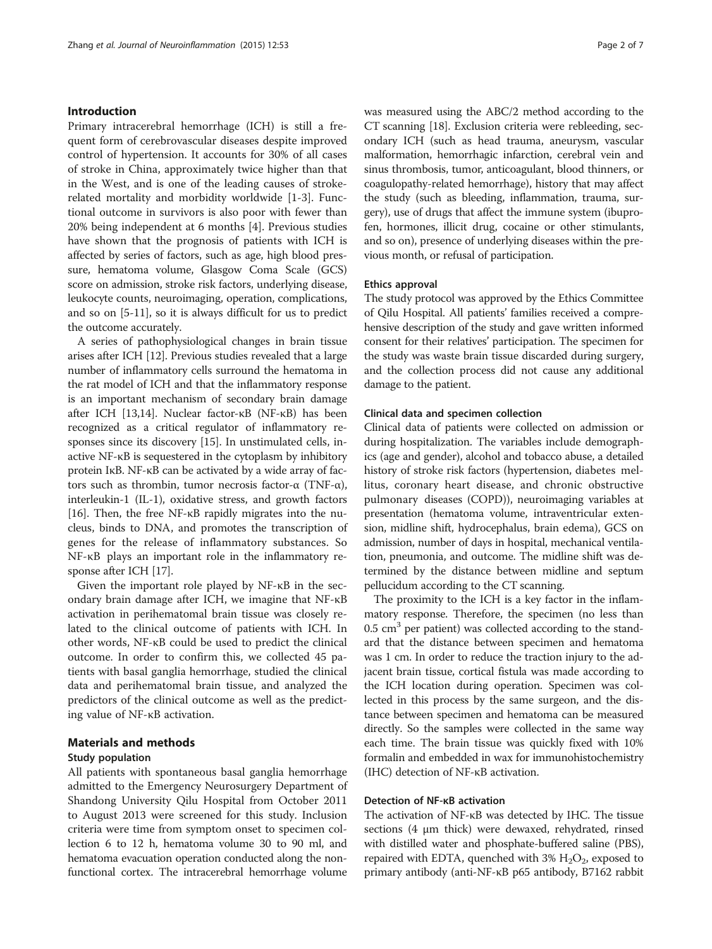# Introduction

Primary intracerebral hemorrhage (ICH) is still a frequent form of cerebrovascular diseases despite improved control of hypertension. It accounts for 30% of all cases of stroke in China, approximately twice higher than that in the West, and is one of the leading causes of strokerelated mortality and morbidity worldwide [[1-3](#page-5-0)]. Functional outcome in survivors is also poor with fewer than 20% being independent at 6 months [\[4\]](#page-5-0). Previous studies have shown that the prognosis of patients with ICH is affected by series of factors, such as age, high blood pressure, hematoma volume, Glasgow Coma Scale (GCS) score on admission, stroke risk factors, underlying disease, leukocyte counts, neuroimaging, operation, complications, and so on [[5-](#page-5-0)[11\]](#page-6-0), so it is always difficult for us to predict the outcome accurately.

A series of pathophysiological changes in brain tissue arises after ICH [\[12\]](#page-6-0). Previous studies revealed that a large number of inflammatory cells surround the hematoma in the rat model of ICH and that the inflammatory response is an important mechanism of secondary brain damage after ICH [\[13,14\]](#page-6-0). Nuclear factor-κB (NF-κB) has been recognized as a critical regulator of inflammatory responses since its discovery [[15](#page-6-0)]. In unstimulated cells, inactive NF-κB is sequestered in the cytoplasm by inhibitory protein IκB. NF-κB can be activated by a wide array of factors such as thrombin, tumor necrosis factor-α (TNF-α), interleukin-1 (IL-1), oxidative stress, and growth factors [[16](#page-6-0)]. Then, the free NF-κB rapidly migrates into the nucleus, binds to DNA, and promotes the transcription of genes for the release of inflammatory substances. So NF-κB plays an important role in the inflammatory response after ICH [\[17\]](#page-6-0).

Given the important role played by NF-κB in the secondary brain damage after ICH, we imagine that NF-κB activation in perihematomal brain tissue was closely related to the clinical outcome of patients with ICH. In other words, NF-κB could be used to predict the clinical outcome. In order to confirm this, we collected 45 patients with basal ganglia hemorrhage, studied the clinical data and perihematomal brain tissue, and analyzed the predictors of the clinical outcome as well as the predicting value of NF-κB activation.

# Materials and methods

## Study population

All patients with spontaneous basal ganglia hemorrhage admitted to the Emergency Neurosurgery Department of Shandong University Qilu Hospital from October 2011 to August 2013 were screened for this study. Inclusion criteria were time from symptom onset to specimen collection 6 to 12 h, hematoma volume 30 to 90 ml, and hematoma evacuation operation conducted along the nonfunctional cortex. The intracerebral hemorrhage volume was measured using the ABC/2 method according to the CT scanning [\[18\]](#page-6-0). Exclusion criteria were rebleeding, secondary ICH (such as head trauma, aneurysm, vascular malformation, hemorrhagic infarction, cerebral vein and sinus thrombosis, tumor, anticoagulant, blood thinners, or coagulopathy-related hemorrhage), history that may affect the study (such as bleeding, inflammation, trauma, surgery), use of drugs that affect the immune system (ibuprofen, hormones, illicit drug, cocaine or other stimulants, and so on), presence of underlying diseases within the previous month, or refusal of participation.

#### Ethics approval

The study protocol was approved by the Ethics Committee of Qilu Hospital. All patients' families received a comprehensive description of the study and gave written informed consent for their relatives' participation. The specimen for the study was waste brain tissue discarded during surgery, and the collection process did not cause any additional damage to the patient.

#### Clinical data and specimen collection

Clinical data of patients were collected on admission or during hospitalization. The variables include demographics (age and gender), alcohol and tobacco abuse, a detailed history of stroke risk factors (hypertension, diabetes mellitus, coronary heart disease, and chronic obstructive pulmonary diseases (COPD)), neuroimaging variables at presentation (hematoma volume, intraventricular extension, midline shift, hydrocephalus, brain edema), GCS on admission, number of days in hospital, mechanical ventilation, pneumonia, and outcome. The midline shift was determined by the distance between midline and septum pellucidum according to the CT scanning.

The proximity to the ICH is a key factor in the inflammatory response. Therefore, the specimen (no less than  $0.5 \text{ cm}^3$  per patient) was collected according to the standard that the distance between specimen and hematoma was 1 cm. In order to reduce the traction injury to the adjacent brain tissue, cortical fistula was made according to the ICH location during operation. Specimen was collected in this process by the same surgeon, and the distance between specimen and hematoma can be measured directly. So the samples were collected in the same way each time. The brain tissue was quickly fixed with 10% formalin and embedded in wax for immunohistochemistry (IHC) detection of NF-κB activation.

## Detection of NF-κB activation

The activation of NF-κB was detected by IHC. The tissue sections (4 μm thick) were dewaxed, rehydrated, rinsed with distilled water and phosphate-buffered saline (PBS), repaired with EDTA, quenched with  $3\%$   $H_2O_2$ , exposed to primary antibody (anti-NF-κB p65 antibody, B7162 rabbit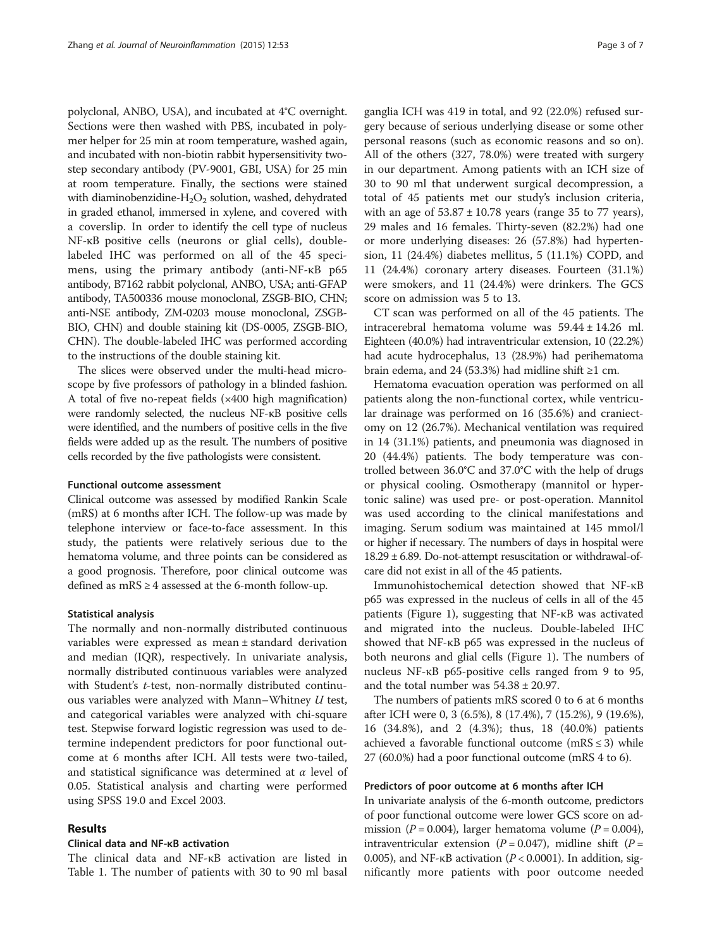polyclonal, ANBO, USA), and incubated at 4°C overnight. Sections were then washed with PBS, incubated in polymer helper for 25 min at room temperature, washed again, and incubated with non-biotin rabbit hypersensitivity twostep secondary antibody (PV-9001, GBI, USA) for 25 min at room temperature. Finally, the sections were stained with diaminobenzidine- $H_2O_2$  solution, washed, dehydrated in graded ethanol, immersed in xylene, and covered with a coverslip. In order to identify the cell type of nucleus NF-κB positive cells (neurons or glial cells), doublelabeled IHC was performed on all of the 45 specimens, using the primary antibody (anti-NF-κB p65 antibody, B7162 rabbit polyclonal, ANBO, USA; anti-GFAP antibody, TA500336 mouse monoclonal, ZSGB-BIO, CHN; anti-NSE antibody, ZM-0203 mouse monoclonal, ZSGB-BIO, CHN) and double staining kit (DS-0005, ZSGB-BIO, CHN). The double-labeled IHC was performed according to the instructions of the double staining kit.

The slices were observed under the multi-head microscope by five professors of pathology in a blinded fashion. A total of five no-repeat fields (×400 high magnification) were randomly selected, the nucleus NF-κB positive cells were identified, and the numbers of positive cells in the five fields were added up as the result. The numbers of positive cells recorded by the five pathologists were consistent.

# Functional outcome assessment

Clinical outcome was assessed by modified Rankin Scale (mRS) at 6 months after ICH. The follow-up was made by telephone interview or face-to-face assessment. In this study, the patients were relatively serious due to the hematoma volume, and three points can be considered as a good prognosis. Therefore, poor clinical outcome was defined as mRS ≥ 4 assessed at the 6-month follow-up.

#### Statistical analysis

The normally and non-normally distributed continuous variables were expressed as mean ± standard derivation and median (IQR), respectively. In univariate analysis, normally distributed continuous variables were analyzed with Student's *t*-test, non-normally distributed continuous variables were analyzed with Mann–Whitney  $U$  test, and categorical variables were analyzed with chi-square test. Stepwise forward logistic regression was used to determine independent predictors for poor functional outcome at 6 months after ICH. All tests were two-tailed, and statistical significance was determined at  $\alpha$  level of 0.05. Statistical analysis and charting were performed using SPSS 19.0 and Excel 2003.

# Results

# Clinical data and NF-κB activation

The clinical data and NF-κB activation are listed in Table [1](#page-3-0). The number of patients with 30 to 90 ml basal

ganglia ICH was 419 in total, and 92 (22.0%) refused surgery because of serious underlying disease or some other personal reasons (such as economic reasons and so on). All of the others (327, 78.0%) were treated with surgery in our department. Among patients with an ICH size of 30 to 90 ml that underwent surgical decompression, a total of 45 patients met our study's inclusion criteria, with an age of  $53.87 \pm 10.78$  years (range 35 to 77 years), 29 males and 16 females. Thirty-seven (82.2%) had one or more underlying diseases: 26 (57.8%) had hypertension, 11 (24.4%) diabetes mellitus, 5 (11.1%) COPD, and 11 (24.4%) coronary artery diseases. Fourteen (31.1%) were smokers, and 11 (24.4%) were drinkers. The GCS score on admission was 5 to 13.

CT scan was performed on all of the 45 patients. The intracerebral hematoma volume was 59.44 ± 14.26 ml. Eighteen (40.0%) had intraventricular extension, 10 (22.2%) had acute hydrocephalus, 13 (28.9%) had perihematoma brain edema, and 24 (53.3%) had midline shift  $\geq 1$  cm.

Hematoma evacuation operation was performed on all patients along the non-functional cortex, while ventricular drainage was performed on 16 (35.6%) and craniectomy on 12 (26.7%). Mechanical ventilation was required in 14 (31.1%) patients, and pneumonia was diagnosed in 20 (44.4%) patients. The body temperature was controlled between 36.0°C and 37.0°C with the help of drugs or physical cooling. Osmotherapy (mannitol or hypertonic saline) was used pre- or post-operation. Mannitol was used according to the clinical manifestations and imaging. Serum sodium was maintained at 145 mmol/l or higher if necessary. The numbers of days in hospital were 18.29 ± 6.89. Do-not-attempt resuscitation or withdrawal-ofcare did not exist in all of the 45 patients.

Immunohistochemical detection showed that NF-κB p65 was expressed in the nucleus of cells in all of the 45 patients (Figure [1](#page-3-0)), suggesting that NF-κB was activated and migrated into the nucleus. Double-labeled IHC showed that NF-κB p65 was expressed in the nucleus of both neurons and glial cells (Figure [1](#page-3-0)). The numbers of nucleus NF-κB p65-positive cells ranged from 9 to 95, and the total number was  $54.38 \pm 20.97$ .

The numbers of patients mRS scored 0 to 6 at 6 months after ICH were 0, 3 (6.5%), 8 (17.4%), 7 (15.2%), 9 (19.6%), 16 (34.8%), and 2 (4.3%); thus, 18 (40.0%) patients achieved a favorable functional outcome (mRS  $\leq$  3) while 27 (60.0%) had a poor functional outcome (mRS 4 to 6).

#### Predictors of poor outcome at 6 months after ICH

In univariate analysis of the 6-month outcome, predictors of poor functional outcome were lower GCS score on admission ( $P = 0.004$ ), larger hematoma volume ( $P = 0.004$ ), intraventricular extension ( $P = 0.047$ ), midline shift ( $P =$ 0.005), and NF- $\kappa$ B activation ( $P < 0.0001$ ). In addition, significantly more patients with poor outcome needed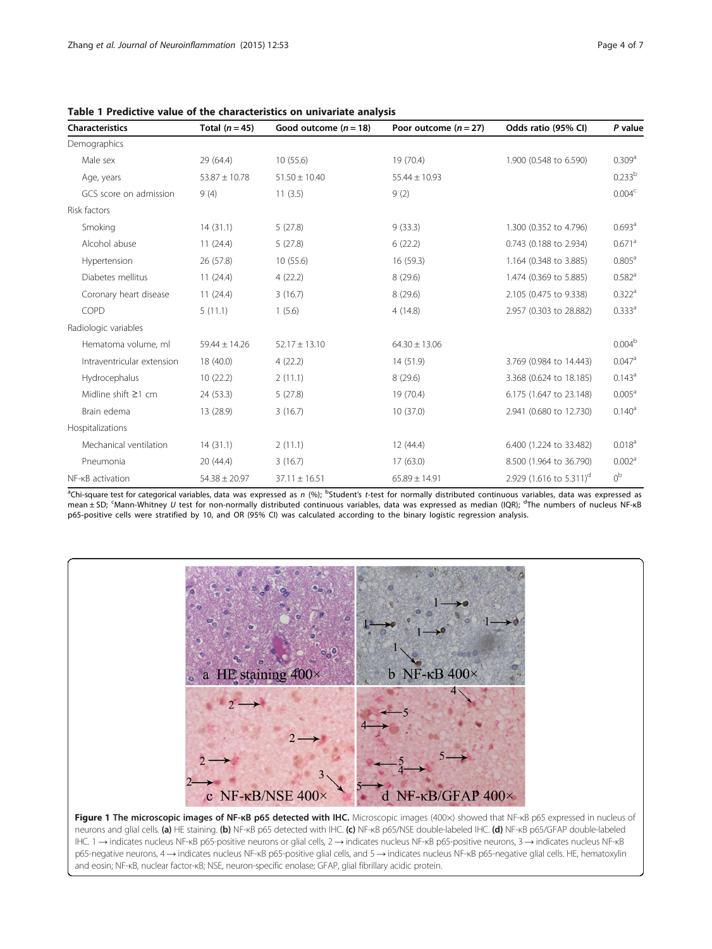| <b>Characteristics</b>     | Total $(n = 45)$  | Good outcome $(n = 18)$ | Poor outcome $(n = 27)$ | Odds ratio (95% CI)                 | P value              |
|----------------------------|-------------------|-------------------------|-------------------------|-------------------------------------|----------------------|
| Demographics               |                   |                         |                         |                                     |                      |
| Male sex                   | 29 (64.4)         | 10(55.6)                | 19 (70.4)               | 1.900 (0.548 to 6.590)              | 0.309 <sup>a</sup>   |
| Age, years                 | $53.87 \pm 10.78$ | $51.50 \pm 10.40$       | $55.44 \pm 10.93$       |                                     | 0.233 <sup>b</sup>   |
| GCS score on admission     | 9(4)              | 11(3.5)                 | 9(2)                    |                                     | 0.004 <sup>c</sup>   |
| Risk factors               |                   |                         |                         |                                     |                      |
| Smoking                    | 14(31.1)          | 5(27.8)                 | 9(33.3)                 | 1.300 (0.352 to 4.796)              | 0.693 <sup>a</sup>   |
| Alcohol abuse              | 11(24.4)          | 5(27.8)                 | 6(22.2)                 | 0.743 (0.188 to 2.934)              | $0.671$ <sup>a</sup> |
| Hypertension               | 26 (57.8)         | 10(55.6)                | 16(59.3)                | 1.164 (0.348 to 3.885)              | $0.805^{\circ}$      |
| Diabetes mellitus          | 11(24.4)          | 4(22.2)                 | 8(29.6)                 | 1.474 (0.369 to 5.885)              | $0.582$ <sup>a</sup> |
| Coronary heart disease     | 11(24.4)          | 3(16.7)                 | 8(29.6)                 | 2.105 (0.475 to 9.338)              | 0.322 <sup>a</sup>   |
| COPD                       | 5(11.1)           | 1(5.6)                  | 4(14.8)                 | 2.957 (0.303 to 28.882)             | 0.333a               |
| Radiologic variables       |                   |                         |                         |                                     |                      |
| Hematoma volume, ml        | $59.44 \pm 14.26$ | $52.17 \pm 13.10$       | $64.30 \pm 13.06$       |                                     | 0.004 <sup>b</sup>   |
| Intraventricular extension | 18 (40.0)         | 4(22.2)                 | 14 (51.9)               | 3.769 (0.984 to 14.443)             | 0.047a               |
| Hydrocephalus              | 10(22.2)          | 2(11.1)                 | 8(29.6)                 | 3.368 (0.624 to 18.185)             | $0.143^a$            |
| Midline shift $\geq$ 1 cm  | 24 (53.3)         | 5(27.8)                 | 19 (70.4)               | 6.175 (1.647 to 23.148)             | 0.005 <sup>a</sup>   |
| Brain edema                | 13 (28.9)         | 3(16.7)                 | 10(37.0)                | 2.941 (0.680 to 12.730)             | $0.140^a$            |
| Hospitalizations           |                   |                         |                         |                                     |                      |
| Mechanical ventilation     | 14(31.1)          | 2(11.1)                 | 12(44.4)                | 6.400 (1.224 to 33.482)             | 0.018 <sup>a</sup>   |
| Pneumonia                  | 20(44.4)          | 3(16.7)                 | 17(63.0)                | 8.500 (1.964 to 36.790)             | 0.002 <sup>a</sup>   |
| NF-KB activation           | $54.38 \pm 20.97$ | $37.11 \pm 16.51$       | $65.89 \pm 14.91$       | 2.929 (1.616 to 5.311) <sup>d</sup> | 0 <sup>b</sup>       |

<span id="page-3-0"></span>Table 1 Predictive value of the characteristics on univariate analysis

<sup>a</sup>Chi-square test for categorical variables, data was expressed as *n* (%); <sup>b</sup>Student's *t-*test for normally distributed continuous variables, data was expressed as<br>mean±SD; <sup>c</sup>Mann-Whitney *U* test for non-normally dis p65-positive cells were stratified by 10, and OR (95% CI) was calculated according to the binary logistic regression analysis.



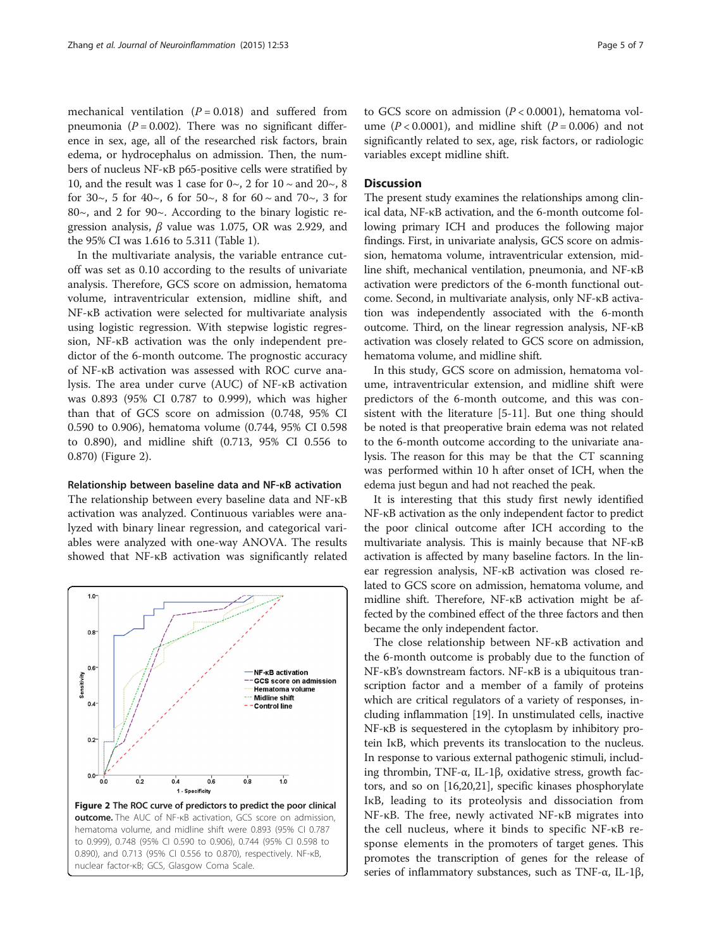mechanical ventilation  $(P = 0.018)$  and suffered from pneumonia ( $P = 0.002$ ). There was no significant difference in sex, age, all of the researched risk factors, brain edema, or hydrocephalus on admission. Then, the numbers of nucleus NF-κB p65-positive cells were stratified by 10, and the result was 1 case for  $0 \sim$ , 2 for  $10 \sim$  and  $20 \sim$ , 8 for 30 $\sim$ , 5 for 40 $\sim$ , 6 for 50 $\sim$ , 8 for 60  $\sim$  and 70 $\sim$ , 3 for 80~, and 2 for 90~. According to the binary logistic regression analysis,  $\beta$  value was 1.075, OR was 2.929, and the 95% CI was 1.616 to 5.311 (Table [1\)](#page-3-0).

In the multivariate analysis, the variable entrance cutoff was set as 0.10 according to the results of univariate analysis. Therefore, GCS score on admission, hematoma volume, intraventricular extension, midline shift, and NF-κB activation were selected for multivariate analysis using logistic regression. With stepwise logistic regression, NF-κB activation was the only independent predictor of the 6-month outcome. The prognostic accuracy of NF-κB activation was assessed with ROC curve analysis. The area under curve (AUC) of NF-κB activation was 0.893 (95% CI 0.787 to 0.999), which was higher than that of GCS score on admission (0.748, 95% CI 0.590 to 0.906), hematoma volume (0.744, 95% CI 0.598 to 0.890), and midline shift (0.713, 95% CI 0.556 to 0.870) (Figure 2).

#### Relationship between baseline data and NF-κB activation

The relationship between every baseline data and NF-κB activation was analyzed. Continuous variables were analyzed with binary linear regression, and categorical variables were analyzed with one-way ANOVA. The results showed that NF-κB activation was significantly related



nuclear factor-κB; GCS, Glasgow Coma Scale.

to GCS score on admission  $(P < 0.0001)$ , hematoma volume ( $P < 0.0001$ ), and midline shift ( $P = 0.006$ ) and not significantly related to sex, age, risk factors, or radiologic variables except midline shift.

# **Discussion**

The present study examines the relationships among clinical data, NF-κB activation, and the 6-month outcome following primary ICH and produces the following major findings. First, in univariate analysis, GCS score on admission, hematoma volume, intraventricular extension, midline shift, mechanical ventilation, pneumonia, and NF-κB activation were predictors of the 6-month functional outcome. Second, in multivariate analysis, only NF-κB activation was independently associated with the 6-month outcome. Third, on the linear regression analysis, NF-κB activation was closely related to GCS score on admission, hematoma volume, and midline shift.

In this study, GCS score on admission, hematoma volume, intraventricular extension, and midline shift were predictors of the 6-month outcome, and this was consistent with the literature [[5-](#page-5-0)[11](#page-6-0)]. But one thing should be noted is that preoperative brain edema was not related to the 6-month outcome according to the univariate analysis. The reason for this may be that the CT scanning was performed within 10 h after onset of ICH, when the edema just begun and had not reached the peak.

It is interesting that this study first newly identified NF-κB activation as the only independent factor to predict the poor clinical outcome after ICH according to the multivariate analysis. This is mainly because that NF-κB activation is affected by many baseline factors. In the linear regression analysis, NF-κB activation was closed related to GCS score on admission, hematoma volume, and midline shift. Therefore, NF-κB activation might be affected by the combined effect of the three factors and then became the only independent factor.

The close relationship between NF-κB activation and the 6-month outcome is probably due to the function of NF-κB's downstream factors. NF-κB is a ubiquitous transcription factor and a member of a family of proteins which are critical regulators of a variety of responses, including inflammation [\[19\]](#page-6-0). In unstimulated cells, inactive NF-κB is sequestered in the cytoplasm by inhibitory protein IκB, which prevents its translocation to the nucleus. In response to various external pathogenic stimuli, including thrombin, TNF-α, IL-1β, oxidative stress, growth factors, and so on [\[16,20,21](#page-6-0)], specific kinases phosphorylate IκB, leading to its proteolysis and dissociation from NF-κB. The free, newly activated NF-κB migrates into the cell nucleus, where it binds to specific NF-κB response elements in the promoters of target genes. This promotes the transcription of genes for the release of series of inflammatory substances, such as TNF-α, IL-1β,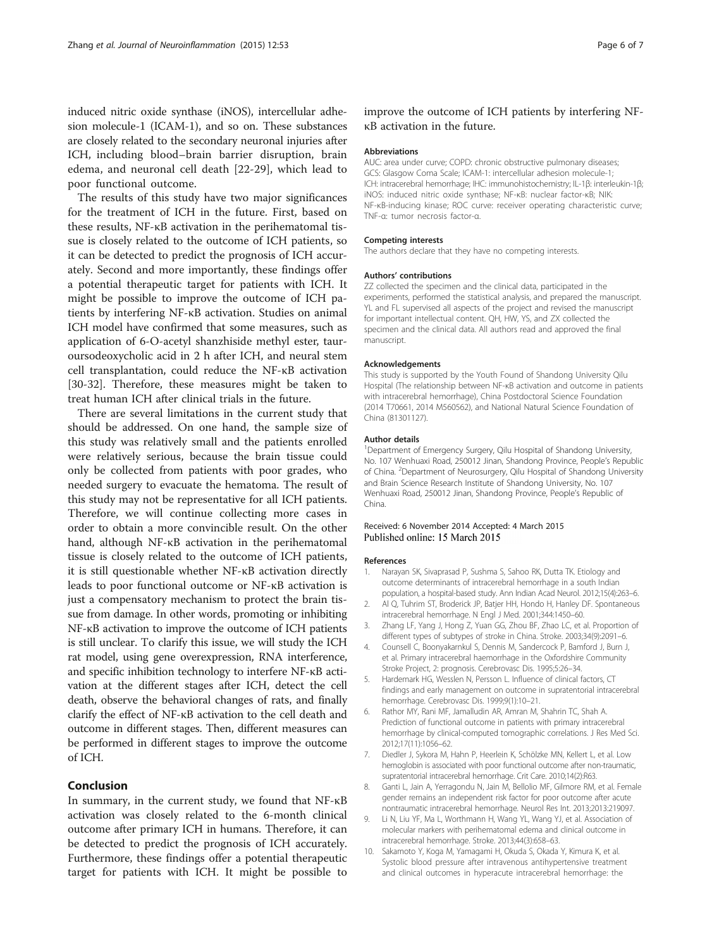<span id="page-5-0"></span>induced nitric oxide synthase (iNOS), intercellular adhesion molecule-1 (ICAM-1), and so on. These substances are closely related to the secondary neuronal injuries after ICH, including blood–brain barrier disruption, brain edema, and neuronal cell death [\[22](#page-6-0)-[29\]](#page-6-0), which lead to poor functional outcome.

The results of this study have two major significances for the treatment of ICH in the future. First, based on these results, NF-κB activation in the perihematomal tissue is closely related to the outcome of ICH patients, so it can be detected to predict the prognosis of ICH accurately. Second and more importantly, these findings offer a potential therapeutic target for patients with ICH. It might be possible to improve the outcome of ICH patients by interfering NF-κB activation. Studies on animal ICH model have confirmed that some measures, such as application of 6-O-acetyl shanzhiside methyl ester, tauroursodeoxycholic acid in 2 h after ICH, and neural stem cell transplantation, could reduce the NF-κB activation [[30-32](#page-6-0)]. Therefore, these measures might be taken to treat human ICH after clinical trials in the future.

There are several limitations in the current study that should be addressed. On one hand, the sample size of this study was relatively small and the patients enrolled were relatively serious, because the brain tissue could only be collected from patients with poor grades, who needed surgery to evacuate the hematoma. The result of this study may not be representative for all ICH patients. Therefore, we will continue collecting more cases in order to obtain a more convincible result. On the other hand, although NF-κB activation in the perihematomal tissue is closely related to the outcome of ICH patients, it is still questionable whether NF-κB activation directly leads to poor functional outcome or NF-κB activation is just a compensatory mechanism to protect the brain tissue from damage. In other words, promoting or inhibiting NF-κB activation to improve the outcome of ICH patients is still unclear. To clarify this issue, we will study the ICH rat model, using gene overexpression, RNA interference, and specific inhibition technology to interfere NF-κB activation at the different stages after ICH, detect the cell death, observe the behavioral changes of rats, and finally clarify the effect of NF-κB activation to the cell death and outcome in different stages. Then, different measures can be performed in different stages to improve the outcome of ICH.

# Conclusion

In summary, in the current study, we found that NF-κB activation was closely related to the 6-month clinical outcome after primary ICH in humans. Therefore, it can be detected to predict the prognosis of ICH accurately. Furthermore, these findings offer a potential therapeutic target for patients with ICH. It might be possible to improve the outcome of ICH patients by interfering NFκB activation in the future.

#### Abbreviations

AUC: area under curve; COPD: chronic obstructive pulmonary diseases; GCS: Glasgow Coma Scale; ICAM-1: intercellular adhesion molecule-1; ICH: intracerebral hemorrhage; IHC: immunohistochemistry; IL-1β: interleukin-1β; iNOS: induced nitric oxide synthase; NF-κB: nuclear factor-κB; NIK: NF-κB-inducing kinase; ROC curve: receiver operating characteristic curve; TNF-α: tumor necrosis factor-α.

#### Competing interests

The authors declare that they have no competing interests.

#### Authors' contributions

ZZ collected the specimen and the clinical data, participated in the experiments, performed the statistical analysis, and prepared the manuscript. YL and FL supervised all aspects of the project and revised the manuscript for important intellectual content. QH, HW, YS, and ZX collected the specimen and the clinical data. All authors read and approved the final manuscript.

#### Acknowledgements

This study is supported by the Youth Found of Shandong University Qilu Hospital (The relationship between NF-κB activation and outcome in patients with intracerebral hemorrhage), China Postdoctoral Science Foundation (2014 T70661, 2014 M560562), and National Natural Science Foundation of China (81301127).

#### Author details

<sup>1</sup>Department of Emergency Surgery, Qilu Hospital of Shandong University No. 107 Wenhuaxi Road, 250012 Jinan, Shandong Province, People's Republic of China. <sup>2</sup>Department of Neurosurgery, Qilu Hospital of Shandong University and Brain Science Research Institute of Shandong University, No. 107 Wenhuaxi Road, 250012 Jinan, Shandong Province, People's Republic of China.

#### Received: 6 November 2014 Accepted: 4 March 2015 Published online: 15 March 2015

#### References

- 1. Narayan SK, Sivaprasad P, Sushma S, Sahoo RK, Dutta TK. Etiology and outcome determinants of intracerebral hemorrhage in a south Indian population, a hospital-based study. Ann Indian Acad Neurol. 2012;15(4):263–6.
- 2. Al Q, Tuhrim ST, Broderick JP, Batjer HH, Hondo H, Hanley DF. Spontaneous intracerebral hemorrhage. N Engl J Med. 2001;344:1450–60.
- 3. Zhang LF, Yang J, Hong Z, Yuan GG, Zhou BF, Zhao LC, et al. Proportion of different types of subtypes of stroke in China. Stroke. 2003;34(9):2091–6.
- 4. Counsell C, Boonyakarnkul S, Dennis M, Sandercock P, Bamford J, Burn J, et al. Primary intracerebral haemorrhage in the Oxfordshire Community Stroke Project, 2: prognosis. Cerebrovasc Dis. 1995;5:26–34.
- 5. Hardemark HG, Wesslen N, Persson L. Influence of clinical factors, CT findings and early management on outcome in supratentorial intracerebral hemorrhage. Cerebrovasc Dis. 1999;9(1):10–21.
- 6. Rathor MY, Rani MF, Jamalludin AR, Amran M, Shahrin TC, Shah A. Prediction of functional outcome in patients with primary intracerebral hemorrhage by clinical-computed tomographic correlations. J Res Med Sci. 2012;17(11):1056–62.
- 7. Diedler J, Sykora M, Hahn P, Heerlein K, Schölzke MN, Kellert L, et al. Low hemoglobin is associated with poor functional outcome after non-traumatic, supratentorial intracerebral hemorrhage. Crit Care. 2010;14(2):R63.
- 8. Ganti L, Jain A, Yerragondu N, Jain M, Bellolio MF, Gilmore RM, et al. Female gender remains an independent risk factor for poor outcome after acute nontraumatic intracerebral hemorrhage. Neurol Res Int. 2013;2013:219097.
- 9. Li N, Liu YF, Ma L, Worthmann H, Wang YL, Wang YJ, et al. Association of molecular markers with perihematomal edema and clinical outcome in intracerebral hemorrhage. Stroke. 2013;44(3):658–63.
- 10. Sakamoto Y, Koga M, Yamagami H, Okuda S, Okada Y, Kimura K, et al. Systolic blood pressure after intravenous antihypertensive treatment and clinical outcomes in hyperacute intracerebral hemorrhage: the